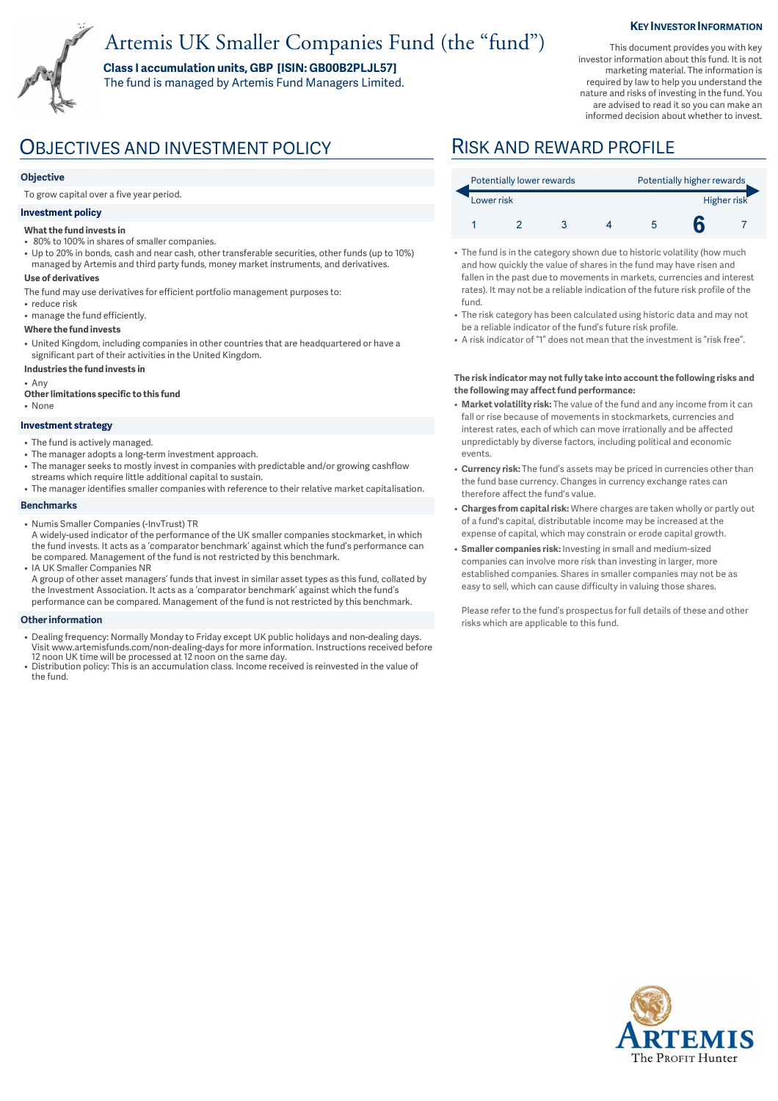# Artemis UK Smaller Companies Fund (the "fund")

**Class I accumulation units, GBP [ISIN: GB00B2PLJL57]**  The fund is managed by Artemis Fund Managers Limited. **KEY INVESTOR INFORMATION** 

This document provides you with key investor information about this fund. It is not marketing material. The information is required by law to help you understand the nature and risks of investing in the fund. You are advised to read it so you can make an informed decision about whether to invest.

## OBJECTIVES AND INVESTMENT POLICY RISK AND REWARD PROFILE

### **Objective**

To grow capital over a five year period.

### **Investment policy**

- **What the fund invests in**
- 80% to 100% in shares of smaller companies.
- Up to 20% in bonds, cash and near cash, other transferable securities, other funds (up to 10%) managed by Artemis and third party funds, money market instruments, and derivatives.

### **Use of derivatives**

- The fund may use derivatives for efficient portfolio management purposes to:
- reduce risk
- manage the fund efficiently.

#### **Where the fund invests**

- United Kingdom, including companies in other countries that are headquartered or have a significant part of their activities in the United Kingdom.
- **Industries the fund invests in**

• Any

- **Other limitations specific to this fund**
- None

#### **Investment strategy**

- The fund is actively managed.
- The manager adopts a long-term investment approach.
- The manager seeks to mostly invest in companies with predictable and/or growing cashflow streams which require little additional capital to sustain.
- The manager identifies smaller companies with reference to their relative market capitalisation.

#### **Benchmarks**

- Numis Smaller Companies (-InvTrust) TR
- A widely-used indicator of the performance of the UK smaller companies stockmarket, in which the fund invests. It acts as a 'comparator benchmark' against which the fund's performance can be compared. Management of the fund is not restricted by this benchmark. • IA UK Smaller Companies NR
- A group of other asset managers' funds that invest in similar asset types as this fund, collated by the Investment Association. It acts as a 'comparator benchmark' against which the fund's performance can be compared. Management of the fund is not restricted by this benchmark.

#### **Other information**

- Dealing frequency: Normally Monday to Friday except UK public holidays and non-dealing days.<br>Visit www.artemisfunds.com/non-dealing-days for more information. Instructions received before<br>12 noon UK time will be processe
- Distribution policy: This is an accumulation class. Income received is reinvested in the value of the fund.

| Potentially lower rewards |  |  |  | Potentially higher rewards |  |  |
|---------------------------|--|--|--|----------------------------|--|--|
| Lower risk                |  |  |  | Higher risk                |  |  |
|                           |  |  |  |                            |  |  |

- The fund is in the category shown due to historic volatility (how much and how quickly the value of shares in the fund may have risen and fallen in the past due to movements in markets, currencies and interest rates). It may not be a reliable indication of the future risk profile of the fund.
- The risk category has been calculated using historic data and may not be a reliable indicator of the fund's future risk profile.
- A risk indicator of "1" does not mean that the investment is "risk free".

#### **The risk indicator may not fully take into account the following risks and the following may affect fund performance:**

- **Market volatility risk:** The value of the fund and any income from it can fall or rise because of movements in stockmarkets, currencies and interest rates, each of which can move irrationally and be affected unpredictably by diverse factors, including political and economic events.
- **Currency risk:** The fund's assets may be priced in currencies other than the fund base currency. Changes in currency exchange rates can therefore affect the fund's value.
- **Charges from capital risk:** Where charges are taken wholly or partly out of a fund's capital, distributable income may be increased at the expense of capital, which may constrain or erode capital growth.
- **Smaller companies risk:** Investing in small and medium-sized companies can involve more risk than investing in larger, more established companies. Shares in smaller companies may not be as easy to sell, which can cause difficulty in valuing those shares.

Please refer to the fund's prospectus for full details of these and other risks which are applicable to this fund.